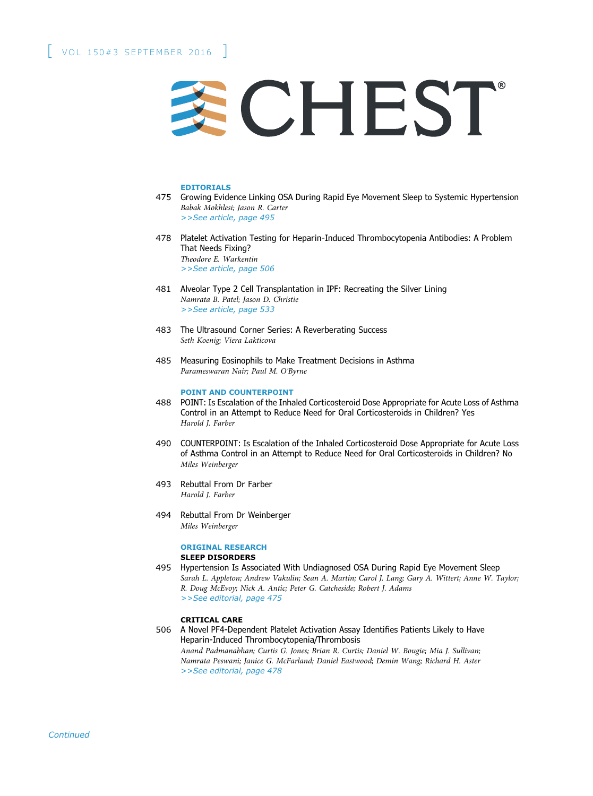

#### EDITORIALS

- 475 Growing Evidence Linking OSA During Rapid Eye Movement Sleep to Systemic Hypertension Babak Mokhlesi; Jason R. Carter >>See article, page 495
- 478 Platelet Activation Testing for Heparin-Induced Thrombocytopenia Antibodies: A Problem That Needs Fixing? Theodore E. Warkentin >>See article, page 506
- 481 Alveolar Type 2 Cell Transplantation in IPF: Recreating the Silver Lining Namrata B. Patel; Jason D. Christie >>See article, page 533
- 483 The Ultrasound Corner Series: A Reverberating Success Seth Koenig; Viera Lakticova
- 485 Measuring Eosinophils to Make Treatment Decisions in Asthma Parameswaran Nair; Paul M. O'Byrne

## POINT AND COUNTERPOINT

- 488 POINT: Is Escalation of the Inhaled Corticosteroid Dose Appropriate for Acute Loss of Asthma Control in an Attempt to Reduce Need for Oral Corticosteroids in Children? Yes Harold J. Farber
- 490 COUNTERPOINT: Is Escalation of the Inhaled Corticosteroid Dose Appropriate for Acute Loss of Asthma Control in an Attempt to Reduce Need for Oral Corticosteroids in Children? No Miles Weinberger
- 493 Rebuttal From Dr Farber Harold J. Farber
- 494 Rebuttal From Dr Weinberger Miles Weinberger

#### ORIGINAL RESEARCH SLEEP DISORDERS

495 Hypertension Is Associated With Undiagnosed OSA During Rapid Eye Movement Sleep Sarah L. Appleton; Andrew Vakulin; Sean A. Martin; Carol J. Lang; Gary A. Wittert; Anne W. Taylor; R. Doug McEvoy; Nick A. Antic; Peter G. Catcheside; Robert J. Adams >>See editorial, page 475

## CRITICAL CARE

506 A Novel PF4-Dependent Platelet Activation Assay Identifies Patients Likely to Have Heparin-Induced Thrombocytopenia/Thrombosis Anand Padmanabhan; Curtis G. Jones; Brian R. Curtis; Daniel W. Bougie; Mia J. Sullivan; Namrata Peswani; Janice G. McFarland; Daniel Eastwood; Demin Wang; Richard H. Aster >>See editorial, page 478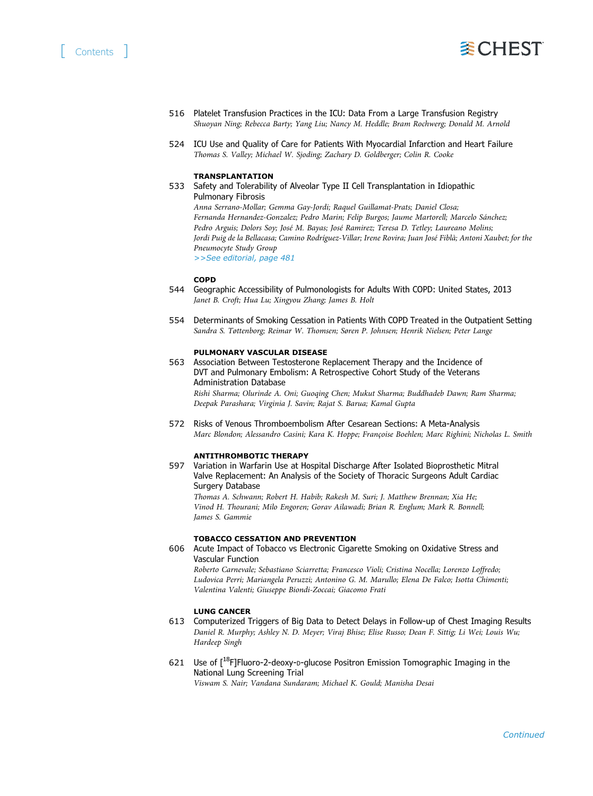# [ Contents ]



- 516 Platelet Transfusion Practices in the ICU: Data From a Large Transfusion Registry Shuoyan Ning; Rebecca Barty; Yang Liu; Nancy M. Heddle; Bram Rochwerg; Donald M. Arnold
- 524 ICU Use and Quality of Care for Patients With Myocardial Infarction and Heart Failure Thomas S. Valley; Michael W. Sjoding; Zachary D. Goldberger; Colin R. Cooke

#### TRANSPLANTATION

533 Safety and Tolerability of Alveolar Type II Cell Transplantation in Idiopathic Pulmonary Fibrosis Anna Serrano-Mollar; Gemma Gay-Jordi; Raquel Guillamat-Prats; Daniel Closa; Fernanda Hernandez-Gonzalez; Pedro Marin; Felip Burgos; Jaume Martorell; Marcelo Sánchez; Pedro Arguis; Dolors Soy; José M. Bayas; José Ramirez; Teresa D. Tetley; Laureano Molins; Jordi Puig de la Bellacasa; Camino Rodríguez-Villar; Irene Rovira; Juan José Fiblà; Antoni Xaubet; for the

Pneumocyte Study Group >>See editorial, page 481

#### COPD

- 544 Geographic Accessibility of Pulmonologists for Adults With COPD: United States, 2013 Janet B. Croft; Hua Lu; Xingyou Zhang; James B. Holt
- 554 Determinants of Smoking Cessation in Patients With COPD Treated in the Outpatient Setting Sandra S. Tøttenborg; Reimar W. Thomsen; Søren P. Johnsen; Henrik Nielsen; Peter Lange

#### PULMONARY VASCULAR DISEASE

563 Association Between Testosterone Replacement Therapy and the Incidence of DVT and Pulmonary Embolism: A Retrospective Cohort Study of the Veterans Administration Database Rishi Sharma; Olurinde A. Oni; Guoqing Chen; Mukut Sharma; Buddhadeb Dawn; Ram Sharma; Deepak Parashara; Virginia J. Savin; Rajat S. Barua; Kamal Gupta

572 Risks of Venous Thromboembolism After Cesarean Sections: A Meta-Analysis Marc Blondon; Alessandro Casini; Kara K. Hoppe; Françoise Boehlen; Marc Righini; Nicholas L. Smith

### ANTITHROMBOTIC THERAPY

597 Variation in Warfarin Use at Hospital Discharge After Isolated Bioprosthetic Mitral Valve Replacement: An Analysis of the Society of Thoracic Surgeons Adult Cardiac Surgery Database

Thomas A. Schwann; Robert H. Habib; Rakesh M. Suri; J. Matthew Brennan; Xia He; Vinod H. Thourani; Milo Engoren; Gorav Ailawadi; Brian R. Englum; Mark R. Bonnell; James S. Gammie

#### TOBACCO CESSATION AND PREVENTION

606 Acute Impact of Tobacco vs Electronic Cigarette Smoking on Oxidative Stress and Vascular Function

Roberto Carnevale; Sebastiano Sciarretta; Francesco Violi; Cristina Nocella; Lorenzo Loffredo; Ludovica Perri; Mariangela Peruzzi; Antonino G. M. Marullo; Elena De Falco; Isotta Chimenti; Valentina Valenti; Giuseppe Biondi-Zoccai; Giacomo Frati

## LUNG CANCER

- 613 Computerized Triggers of Big Data to Detect Delays in Follow-up of Chest Imaging Results Daniel R. Murphy; Ashley N. D. Meyer; Viraj Bhise; Elise Russo; Dean F. Sittig; Li Wei; Louis Wu; Hardeep Singh
- 621 Use of [18F]Fluoro-2-deoxy-D-glucose Positron Emission Tomographic Imaging in the National Lung Screening Trial Viswam S. Nair; Vandana Sundaram; Michael K. Gould; Manisha Desai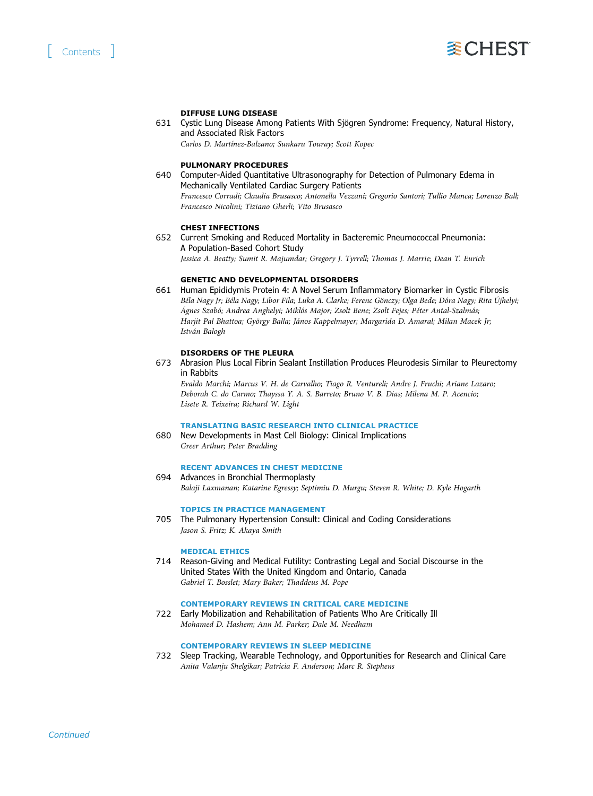

## DIFFUSE LUNG DISEASE

631 Cystic Lung Disease Among Patients With Sjögren Syndrome: Frequency, Natural History, and Associated Risk Factors Carlos D. Martínez-Balzano; Sunkaru Touray; Scott Kopec

PULMONARY PROCEDURES

640 Computer-Aided Quantitative Ultrasonography for Detection of Pulmonary Edema in Mechanically Ventilated Cardiac Surgery Patients Francesco Corradi; Claudia Brusasco; Antonella Vezzani; Gregorio Santori; Tullio Manca; Lorenzo Ball; Francesco Nicolini; Tiziano Gherli; Vito Brusasco

## CHEST INFECTIONS

652 Current Smoking and Reduced Mortality in Bacteremic Pneumococcal Pneumonia: A Population-Based Cohort Study

Jessica A. Beatty; Sumit R. Majumdar; Gregory J. Tyrrell; Thomas J. Marrie; Dean T. Eurich

## GENETIC AND DEVELOPMENTAL DISORDERS

661 Human Epididymis Protein 4: A Novel Serum Inflammatory Biomarker in Cystic Fibrosis Béla Nagy Jr; Béla Nagy; Libor Fila; Luka A. Clarke; Ferenc Gönczy; Olga Bede; Dóra Nagy; Rita Újhelyi; Ágnes Szabó; Andrea Anghelyi; Miklós Major; Zsolt Bene; Zsolt Fejes; Péter Antal-Szalmás; Harjit Pal Bhattoa; György Balla; János Kappelmayer; Margarida D. Amaral; Milan Macek Jr; István Balogh

## DISORDERS OF THE PLEURA

673 Abrasion Plus Local Fibrin Sealant Instillation Produces Pleurodesis Similar to Pleurectomy in Rabbits

Evaldo Marchi; Marcus V. H. de Carvalho; Tiago R. Ventureli; Andre J. Fruchi; Ariane Lazaro; Deborah C. do Carmo; Thayssa Y. A. S. Barreto; Bruno V. B. Dias; Milena M. P. Acencio; Lisete R. Teixeira; Richard W. Light

#### TRANSLATING BASIC RESEARCH INTO CLINICAL PRACTICE

680 New Developments in Mast Cell Biology: Clinical Implications Greer Arthur; Peter Bradding

## RECENT ADVANCES IN CHEST MEDICINE

694 Advances in Bronchial Thermoplasty

Balaji Laxmanan; Katarine Egressy; Septimiu D. Murgu; Steven R. White; D. Kyle Hogarth

## TOPICS IN PRACTICE MANAGEMENT

705 The Pulmonary Hypertension Consult: Clinical and Coding Considerations Jason S. Fritz; K. Akaya Smith

## MEDICAL ETHICS

714 Reason-Giving and Medical Futility: Contrasting Legal and Social Discourse in the United States With the United Kingdom and Ontario, Canada Gabriel T. Bosslet; Mary Baker; Thaddeus M. Pope

# CONTEMPORARY REVIEWS IN CRITICAL CARE MEDICINE

722 Early Mobilization and Rehabilitation of Patients Who Are Critically Ill Mohamed D. Hashem; Ann M. Parker; Dale M. Needham

# CONTEMPORARY REVIEWS IN SLEEP MEDICINE

732 Sleep Tracking, Wearable Technology, and Opportunities for Research and Clinical Care Anita Valanju Shelgikar; Patricia F. Anderson; Marc R. Stephens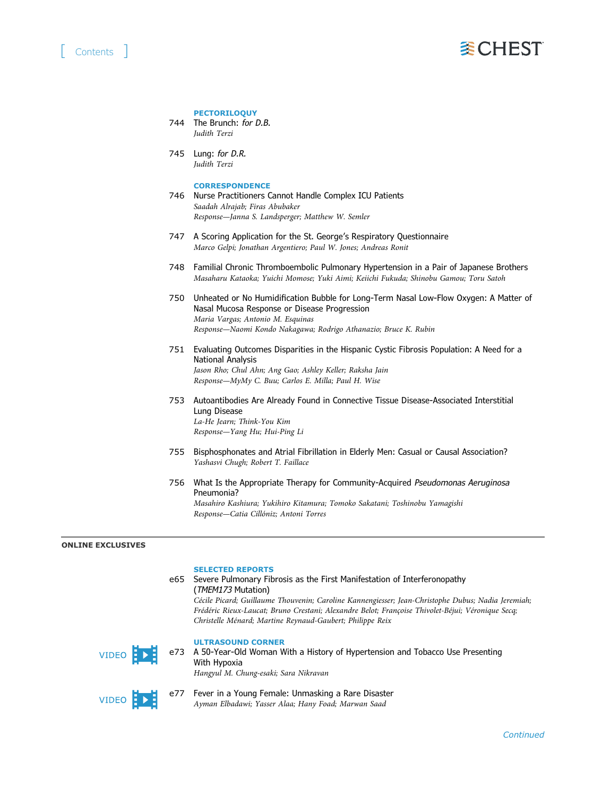

#### **PECTORILOQUY**

744 The Brunch: for D.B. Judith Terzi

745 Lung: for D.R. Judith Terzi

# **CORRESPONDENCE**

- 746 Nurse Practitioners Cannot Handle Complex ICU Patients Saadah Alrajab; Firas Abubaker Response—Janna S. Landsperger; Matthew W. Semler
- 747 A Scoring Application for the St. George's Respiratory Questionnaire Marco Gelpi; Jonathan Argentiero; Paul W. Jones; Andreas Ronit
- 748 Familial Chronic Thromboembolic Pulmonary Hypertension in a Pair of Japanese Brothers Masaharu Kataoka; Yuichi Momose; Yuki Aimi; Keiichi Fukuda; Shinobu Gamou; Toru Satoh
- 750 Unheated or No Humidification Bubble for Long-Term Nasal Low-Flow Oxygen: A Matter of Nasal Mucosa Response or Disease Progression Maria Vargas; Antonio M. Esquinas Response—Naomi Kondo Nakagawa; Rodrigo Athanazio; Bruce K. Rubin
- 751 Evaluating Outcomes Disparities in the Hispanic Cystic Fibrosis Population: A Need for a National Analysis Jason Rho; Chul Ahn; Ang Gao; Ashley Keller; Raksha Jain Response—MyMy C. Buu; Carlos E. Milla; Paul H. Wise
- 753 Autoantibodies Are Already Found in Connective Tissue Disease-Associated Interstitial Lung Disease La-He Jearn; Think-You Kim Response—Yang Hu; Hui-Ping Li
- 755 Bisphosphonates and Atrial Fibrillation in Elderly Men: Casual or Causal Association? Yashasvi Chugh; Robert T. Faillace
- 756 What Is the Appropriate Therapy for Community-Acquired Pseudomonas Aeruginosa Pneumonia? Masahiro Kashiura; Yukihiro Kitamura; Tomoko Sakatani; Toshinobu Yamagishi Response—Catia Cillóniz; Antoni Torres

## ONLINE EXCLUSIVES

#### SELECTED REPORTS

e65 Severe Pulmonary Fibrosis as the First Manifestation of Interferonopathy (TMEM173 Mutation) Cécile Picard; Guillaume Thouvenin; Caroline Kannengiesser; Jean-Christophe Dubus; Nadia Jeremiah; Frédéric Rieux-Laucat; Bruno Crestani; Alexandre Belot; Françoise Thivolet-Béjui; Véronique Secq; Christelle Ménard; Martine Reynaud-Gaubert; Philippe Reix



#### ULTRASOUND CORNER

e73 A 50-Year-Old Woman With a History of Hypertension and Tobacco Use Presenting With Hypoxia Hangyul M. Chung-esaki; Sara Nikravan



e77 Fever in a Young Female: Unmasking a Rare Disaster Ayman Elbadawi; Yasser Alaa; Hany Foad; Marwan Saad